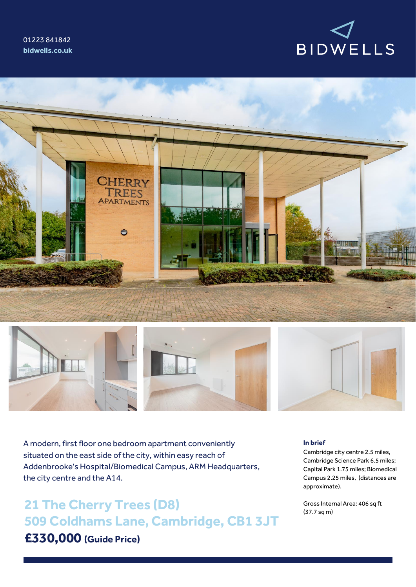





A modern, first floor one bedroom apartment conveniently situated on the east side of the city, within easy reach of Addenbrooke's Hospital/Biomedical Campus, ARM Headquarters, the city centre and the A14.

**21 The Cherry Trees (D8) 509 Coldhams Lane, Cambridge, CB1 3JT £330,000 (Guide Price)**

### **In brief**

Cambridge city centre 2.5 miles, Cambridge Science Park 6.5 miles; Capital Park 1.75 miles; Biomedical Campus 2.25 miles, (distances are approximate).

Gross Internal Area: 406 sq ft (37.7 sq m)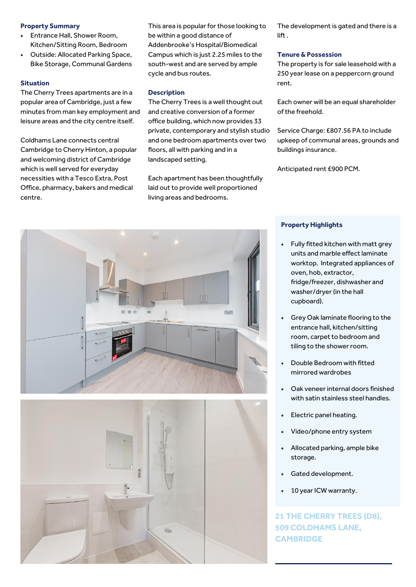## **Property Summary**

- Entrance Hall, Shower Room, Kitchen/Sitting Room, Bedroom
- Outside: Allocated Parking Space, Bike Storage, Communal Gardens

## **Situation**

The Cherry Trees apartments are in a popular area of Cambridge, just a few minutes from man key employment and leisure areas and the city centre itself.

Coldhams Lane connects central Cambridge to Cherry Hinton, a popular and welcoming district of Cambridge which is well served for everyday necessities with a Tesco Extra, Post Office, pharmacy, bakers and medical centre.

This area is popular for those looking to be within a good distance of Addenbrooke's Hospital/Biomedical Campus which is just 2.25 miles to the south-west and are served by ample cycle and bus routes.

## **Description**

The Cherry Trees is a well thought out and creative conversion of a former office building, which now provides 33 private, contemporary and stylish studio and one bedroom apartments over two floors, all with parking and in a landscaped setting.

Each apartment has been thoughtfully laid out to provide well proportioned living areas and bedrooms.

The development is gated and there is a lift .

#### **Tenure & Possession**

The property is for sale leasehold with a 250 year lease on a peppercorn ground rent.

Each owner will be an equal shareholder of the freehold.

Service Charge: £807.56 PA to include upkeep of communal areas, grounds and buildings insurance.

Anticipated rent £900 PCM.





# **Property Highlights**

- Fully fitted kitchen with matt grey units and marble effect laminate worktop. Integrated appliances of oven, hob, extractor, fridge/freezer, dishwasher and washer/dryer (in the hall cupboard).
- Grey Oak laminate flooring to the entrance hall, kitchen/sitting room, carpet to bedroom and tiling to the shower room.
- Double Bedroom with fitted mirrored wardrobes
- Oak veneer internal doors finished with satin stainless steel handles.
- Electric panel heating.
- Video/phone entry system
- Allocated parking, ample bike storage.
- Gated development.
- 10 year ICW warranty.

**21 THE CHERRY TREES (D8), 509 COLDHAMS LANE, CAMBRIDGE**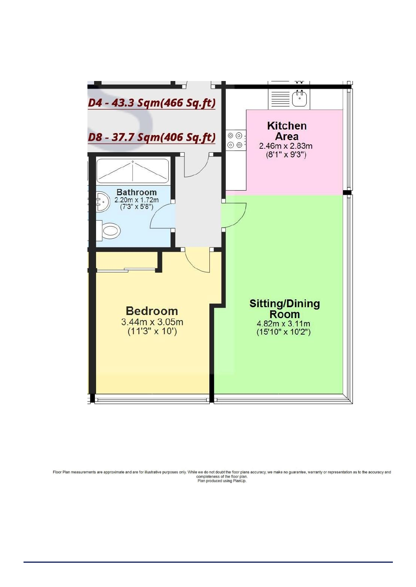

Floor Plan measurements are approximate and are for illustrative purposes only. While we do not doubt the floor plans accuracy, we make no guarantee, warranty or representation as to the accuracy and<br>Plan produced using Pl